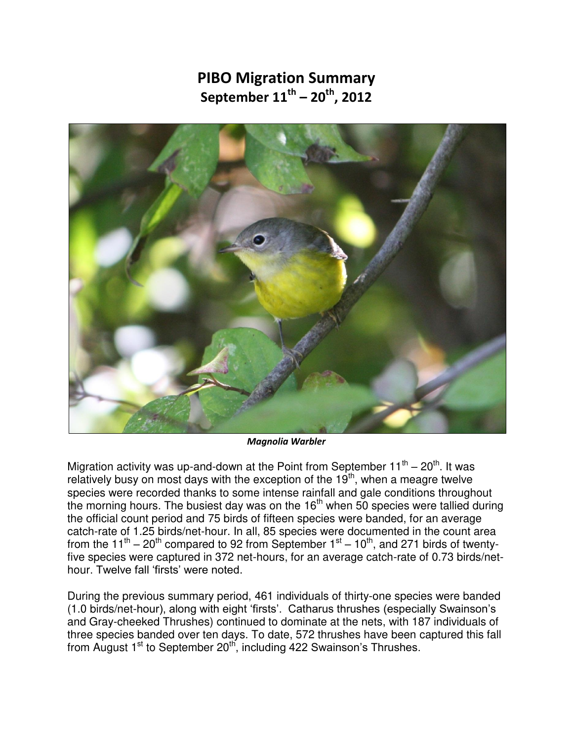## **PIBO Migration Summary September 11th – 20th, 2012**



*Magnolia Warbler* 

Migration activity was up-and-down at the Point from September 11<sup>th</sup> – 20<sup>th</sup>. It was relatively busy on most days with the exception of the  $19<sup>th</sup>$ , when a meagre twelve species were recorded thanks to some intense rainfall and gale conditions throughout the morning hours. The busiest day was on the  $16<sup>th</sup>$  when 50 species were tallied during the official count period and 75 birds of fifteen species were banded, for an average catch-rate of 1.25 birds/net-hour. In all, 85 species were documented in the count area from the 11<sup>th</sup> – 20<sup>th</sup> compared to 92 from September 1<sup>st</sup> – 10<sup>th</sup>, and 271 birds of twentyfive species were captured in 372 net-hours, for an average catch-rate of 0.73 birds/nethour. Twelve fall 'firsts' were noted.

During the previous summary period, 461 individuals of thirty-one species were banded (1.0 birds/net-hour), along with eight 'firsts'. Catharus thrushes (especially Swainson's and Gray-cheeked Thrushes) continued to dominate at the nets, with 187 individuals of three species banded over ten days. To date, 572 thrushes have been captured this fall from August  $1<sup>st</sup>$  to September 20<sup>th</sup>, including 422 Swainson's Thrushes.